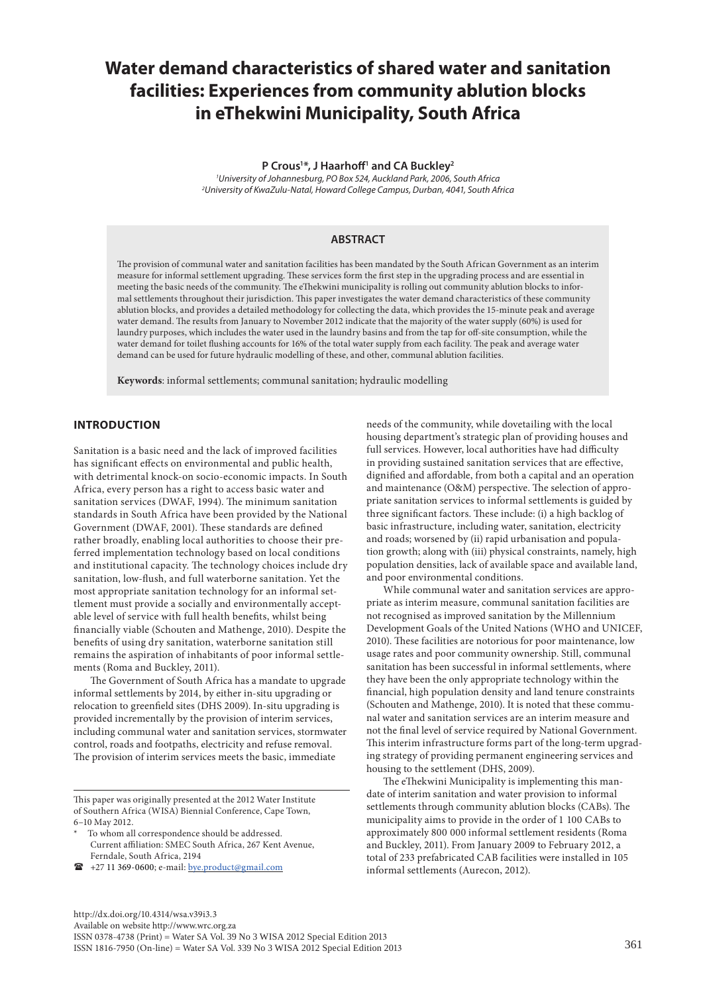# **Water demand characteristics of shared water and sanitation facilities: Experiences from community ablution blocks in eThekwini Municipality, South Africa**

## **P Crous1 \*, J Haarhoff1 and CA Buckley2**

*1 University of Johannesburg, PO Box 524, Auckland Park, 2006, South Africa 2 University of KwaZulu-Natal, Howard College Campus, Durban, 4041, South Africa*

## **ABSTRACT**

The provision of communal water and sanitation facilities has been mandated by the South African Government as an interim measure for informal settlement upgrading. These services form the first step in the upgrading process and are essential in meeting the basic needs of the community. The eThekwini municipality is rolling out community ablution blocks to informal settlements throughout their jurisdiction. This paper investigates the water demand characteristics of these community ablution blocks, and provides a detailed methodology for collecting the data, which provides the 15-minute peak and average water demand. The results from January to November 2012 indicate that the majority of the water supply (60%) is used for laundry purposes, which includes the water used in the laundry basins and from the tap for off-site consumption, while the water demand for toilet flushing accounts for 16% of the total water supply from each facility. The peak and average water demand can be used for future hydraulic modelling of these, and other, communal ablution facilities.

**Keywords**: informal settlements; communal sanitation; hydraulic modelling

# **INTRODUCTION**

Sanitation is a basic need and the lack of improved facilities has significant effects on environmental and public health, with detrimental knock-on socio-economic impacts. In South Africa, every person has a right to access basic water and sanitation services (DWAF, 1994). The minimum sanitation standards in South Africa have been provided by the National Government (DWAF, 2001). These standards are defined rather broadly, enabling local authorities to choose their preferred implementation technology based on local conditions and institutional capacity. The technology choices include dry sanitation, low-flush, and full waterborne sanitation. Yet the most appropriate sanitation technology for an informal settlement must provide a socially and environmentally acceptable level of service with full health benefits, whilst being financially viable (Schouten and Mathenge, 2010). Despite the benefits of using dry sanitation, waterborne sanitation still remains the aspiration of inhabitants of poor informal settlements (Roma and Buckley, 2011).

The Government of South Africa has a mandate to upgrade informal settlements by 2014, by either in-situ upgrading or relocation to greenfield sites (DHS 2009). In-situ upgrading is provided incrementally by the provision of interim services, including communal water and sanitation services, stormwater control, roads and footpaths, electricity and refuse removal. The provision of interim services meets the basic, immediate

This paper was originally presented at the 2012 Water Institute of Southern Africa (WISA) Biennial Conference, Cape Town, 6–10 May 2012.

To whom all correspondence should be addressed. Current affiliation: SMEC South Africa, 267 Kent Avenue, Ferndale, South Africa, 2194

+27 11 369-0600; e-mail: [bye.product@gmail.com](mailto:bye.product@gmail.com) 

needs of the community, while dovetailing with the local housing department's strategic plan of providing houses and full services. However, local authorities have had difficulty in providing sustained sanitation services that are effective, dignified and affordable, from both a capital and an operation and maintenance (O&M) perspective. The selection of appropriate sanitation services to informal settlements is guided by three significant factors. These include: (i) a high backlog of basic infrastructure, including water, sanitation, electricity and roads; worsened by (ii) rapid urbanisation and population growth; along with (iii) physical constraints, namely, high population densities, lack of available space and available land, and poor environmental conditions.

While communal water and sanitation services are appropriate as interim measure, communal sanitation facilities are not recognised as improved sanitation by the Millennium Development Goals of the United Nations (WHO and UNICEF, 2010). These facilities are notorious for poor maintenance, low usage rates and poor community ownership. Still, communal sanitation has been successful in informal settlements, where they have been the only appropriate technology within the financial, high population density and land tenure constraints (Schouten and Mathenge, 2010). It is noted that these communal water and sanitation services are an interim measure and not the final level of service required by National Government. This interim infrastructure forms part of the long-term upgrading strategy of providing permanent engineering services and housing to the settlement (DHS, 2009).

The eThekwini Municipality is implementing this mandate of interim sanitation and water provision to informal settlements through community ablution blocks (CABs). The municipality aims to provide in the order of 1 100 CABs to approximately 800 000 informal settlement residents (Roma and Buckley, 2011). From January 2009 to February 2012, a total of 233 prefabricated CAB facilities were installed in 105 informal settlements (Aurecon, 2012).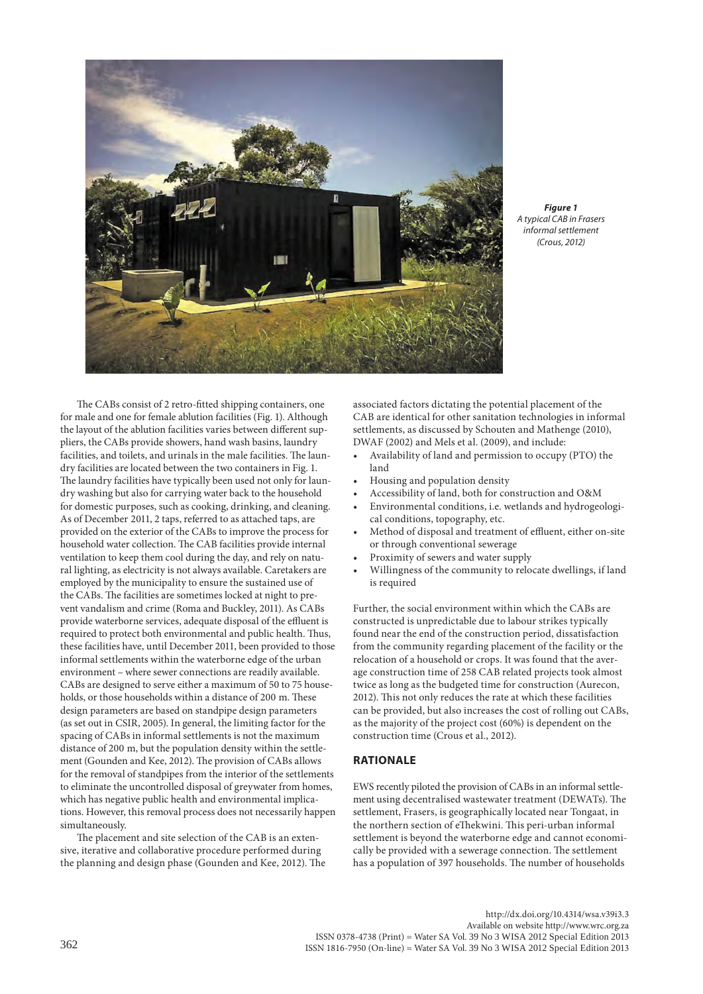

*Figure 1 A typical CAB in Frasers informal settlement (Crous, 2012)*

The CABs consist of 2 retro-fitted shipping containers, one for male and one for female ablution facilities (Fig. 1). Although the layout of the ablution facilities varies between different suppliers, the CABs provide showers, hand wash basins, laundry facilities, and toilets, and urinals in the male facilities. The laundry facilities are located between the two containers in Fig. 1. The laundry facilities have typically been used not only for laundry washing but also for carrying water back to the household for domestic purposes, such as cooking, drinking, and cleaning. As of December 2011, 2 taps, referred to as attached taps, are provided on the exterior of the CABs to improve the process for household water collection. The CAB facilities provide internal ventilation to keep them cool during the day, and rely on natural lighting, as electricity is not always available. Caretakers are employed by the municipality to ensure the sustained use of the CABs. The facilities are sometimes locked at night to prevent vandalism and crime (Roma and Buckley, 2011). As CABs provide waterborne services, adequate disposal of the effluent is required to protect both environmental and public health. Thus, these facilities have, until December 2011, been provided to those informal settlements within the waterborne edge of the urban environment – where sewer connections are readily available. CABs are designed to serve either a maximum of 50 to 75 households, or those households within a distance of 200 m. These design parameters are based on standpipe design parameters (as set out in CSIR, 2005). In general, the limiting factor for the spacing of CABs in informal settlements is not the maximum distance of 200 m, but the population density within the settlement (Gounden and Kee, 2012). The provision of CABs allows for the removal of standpipes from the interior of the settlements to eliminate the uncontrolled disposal of greywater from homes, which has negative public health and environmental implications. However, this removal process does not necessarily happen simultaneously.

The placement and site selection of the CAB is an extensive, iterative and collaborative procedure performed during the planning and design phase (Gounden and Kee, 2012). The associated factors dictating the potential placement of the CAB are identical for other sanitation technologies in informal settlements, as discussed by Schouten and Mathenge (2010), DWAF (2002) and Mels et al. (2009), and include:

- Availability of land and permission to occupy (PTO) the land
- Housing and population density
- Accessibility of land, both for construction and O&M
- Environmental conditions, i.e. wetlands and hydrogeological conditions, topography, etc.
- Method of disposal and treatment of effluent, either on-site or through conventional sewerage
- Proximity of sewers and water supply
- Willingness of the community to relocate dwellings, if land is required

Further, the social environment within which the CABs are constructed is unpredictable due to labour strikes typically found near the end of the construction period, dissatisfaction from the community regarding placement of the facility or the relocation of a household or crops. It was found that the average construction time of 258 CAB related projects took almost twice as long as the budgeted time for construction (Aurecon, 2012). This not only reduces the rate at which these facilities can be provided, but also increases the cost of rolling out CABs, as the majority of the project cost (60%) is dependent on the construction time (Crous et al., 2012).

# **RATIONALE**

EWS recently piloted the provision of CABs in an informal settlement using decentralised wastewater treatment (DEWATs). The settlement, Frasers, is geographically located near Tongaat, in the northern section of eThekwini. This peri-urban informal settlement is beyond the waterborne edge and cannot economically be provided with a sewerage connection. The settlement has a population of 397 households. The number of households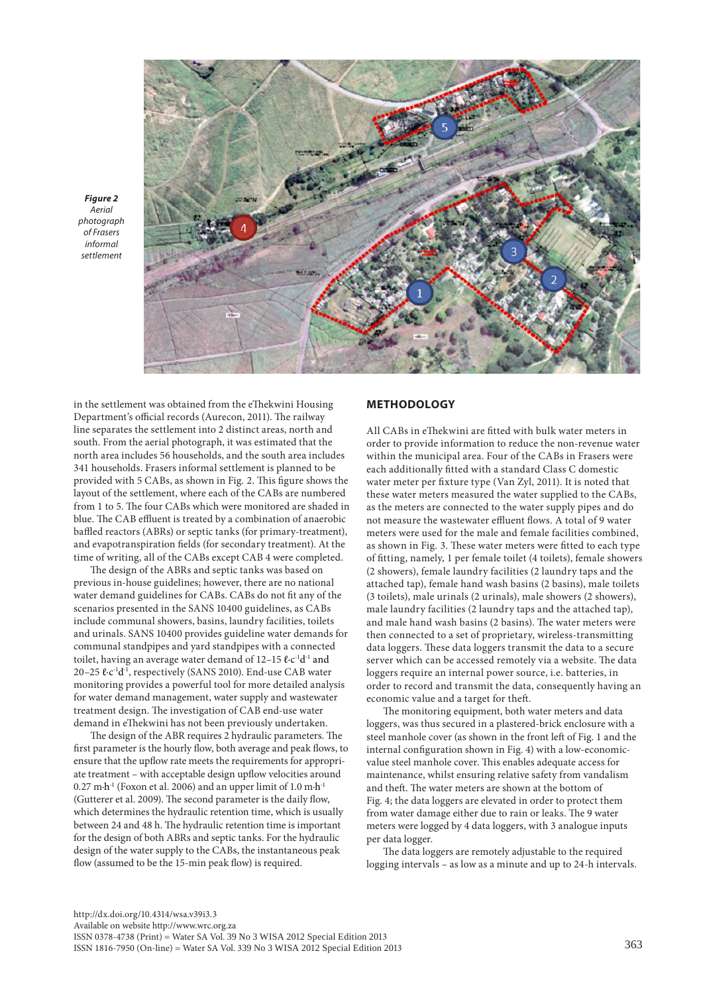

*Figure 2 Aerial photograph of Frasers informal settlement* 

in the settlement was obtained from the eThekwini Housing Department's official records (Aurecon, 2011). The railway line separates the settlement into 2 distinct areas, north and south. From the aerial photograph, it was estimated that the north area includes 56 households, and the south area includes 341 households. Frasers informal settlement is planned to be provided with 5 CABs, as shown in Fig. 2. This figure shows the layout of the settlement, where each of the CABs are numbered from 1 to 5. The four CABs which were monitored are shaded in blue. The CAB effluent is treated by a combination of anaerobic baffled reactors (ABRs) or septic tanks (for primary-treatment), and evapotranspiration fields (for secondary treatment). At the time of writing, all of the CABs except CAB 4 were completed.

The design of the ABRs and septic tanks was based on previous in-house guidelines; however, there are no national water demand guidelines for CABs. CABs do not fit any of the scenarios presented in the SANS 10400 guidelines, as CABs include communal showers, basins, laundry facilities, toilets and urinals. SANS 10400 provides guideline water demands for communal standpipes and yard standpipes with a connected toilet, having an average water demand of 12–15 ℓ∙c-1d-1 and 20–25 ℓ∙c-1d-1, respectively (SANS 2010). End-use CAB water monitoring provides a powerful tool for more detailed analysis for water demand management, water supply and wastewater treatment design. The investigation of CAB end-use water demand in eThekwini has not been previously undertaken.

The design of the ABR requires 2 hydraulic parameters. The first parameter is the hourly flow, both average and peak flows, to ensure that the upflow rate meets the requirements for appropriate treatment – with acceptable design upflow velocities around 0.27 m∙h-1 (Foxon et al. 2006) and an upper limit of 1.0 m∙h-1 (Gutterer et al. 2009). The second parameter is the daily flow, which determines the hydraulic retention time, which is usually between 24 and 48 h. The hydraulic retention time is important for the design of both ABRs and septic tanks. For the hydraulic design of the water supply to the CABs, the instantaneous peak flow (assumed to be the 15-min peak flow) is required.

## **METHODOLOGY**

All CABs in eThekwini are fitted with bulk water meters in order to provide information to reduce the non-revenue water within the municipal area. Four of the CABs in Frasers were each additionally fitted with a standard Class C domestic water meter per fixture type (Van Zyl, 2011). It is noted that these water meters measured the water supplied to the CABs, as the meters are connected to the water supply pipes and do not measure the wastewater effluent flows. A total of 9 water meters were used for the male and female facilities combined, as shown in Fig. 3. These water meters were fitted to each type of fitting, namely, 1 per female toilet (4 toilets), female showers (2 showers), female laundry facilities (2 laundry taps and the attached tap), female hand wash basins (2 basins), male toilets (3 toilets), male urinals (2 urinals), male showers (2 showers), male laundry facilities (2 laundry taps and the attached tap), and male hand wash basins (2 basins). The water meters were then connected to a set of proprietary, wireless-transmitting data loggers. These data loggers transmit the data to a secure server which can be accessed remotely via a website. The data loggers require an internal power source, i.e. batteries, in order to record and transmit the data, consequently having an economic value and a target for theft.

The monitoring equipment, both water meters and data loggers, was thus secured in a plastered-brick enclosure with a steel manhole cover (as shown in the front left of Fig. 1 and the internal configuration shown in Fig. 4) with a low-economicvalue steel manhole cover. This enables adequate access for maintenance, whilst ensuring relative safety from vandalism and theft. The water meters are shown at the bottom of Fig. 4; the data loggers are elevated in order to protect them from water damage either due to rain or leaks. The 9 water meters were logged by 4 data loggers, with 3 analogue inputs per data logger.

The data loggers are remotely adjustable to the required logging intervals – as low as a minute and up to 24-h intervals.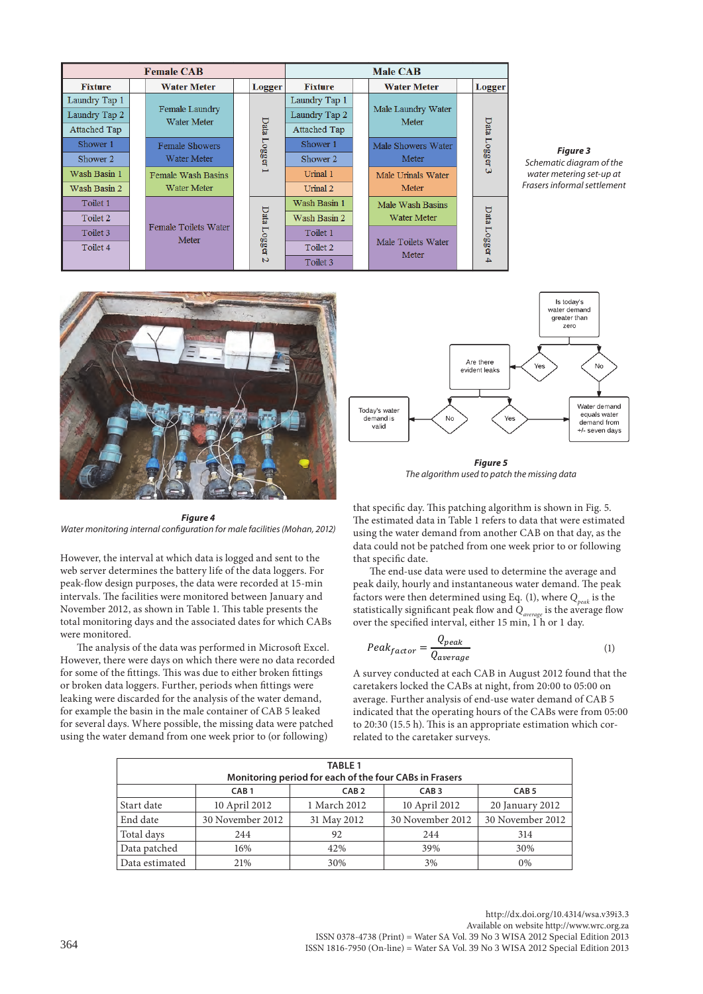| <b>Female CAB</b>   |  |                                      |  | <b>Male CAB</b> |                     |  |                                                            |  |               |
|---------------------|--|--------------------------------------|--|-----------------|---------------------|--|------------------------------------------------------------|--|---------------|
| <b>Fixture</b>      |  | <b>Water Meter</b>                   |  | <b>Logger</b>   | <b>Fixture</b>      |  | <b>Water Meter</b>                                         |  | Logger        |
| Laundry Tap 1       |  |                                      |  |                 | Laundry Tap 1       |  |                                                            |  |               |
| Laundry Tap 2       |  | Female Laundry<br><b>Water Meter</b> |  |                 | Laundry Tap 2       |  | Male Laundry Water<br>Meter<br>Male Showers Water<br>Meter |  |               |
| <b>Attached Tap</b> |  |                                      |  |                 | <b>Attached Tap</b> |  |                                                            |  |               |
| Shower 1            |  | <b>Female Showers</b>                |  |                 | Shower 1            |  |                                                            |  | Data Logger 3 |
| Shower 2            |  | <b>Water Meter</b>                   |  | Data Logger     | Shower 2            |  |                                                            |  |               |
| Wash Basin 1        |  | <b>Female Wash Basins</b>            |  | Ë               | Urinal 1            |  | Male Urinals Water                                         |  |               |
| Wash Basin 2        |  | <b>Water Meter</b>                   |  |                 | Urinal 2            |  | Meter                                                      |  |               |
| Toilet 1            |  |                                      |  |                 | Wash Basin 1        |  | Male Wash Basins                                           |  |               |
| Toilet 2            |  | Female Toilets Water                 |  | Data Logger     | Wash Basin 2        |  | Water Meter                                                |  | Data Logger   |
| Toilet 3            |  |                                      |  |                 | Toilet 1            |  |                                                            |  |               |
| Toilet 4            |  | Meter                                |  |                 | Toilet 2            |  | Male Toilets Water                                         |  |               |
|                     |  |                                      |  | $\overline{a}$  | Toilet 3            |  | Meter                                                      |  |               |

*Figure 3 Schematic diagram of the water metering set-up at Frasers informal settlement*



*Figure 4 Water monitoring internal configuration for male facilities (Mohan, 2012)*

However, the interval at which data is logged and sent to the web server determines the battery life of the data loggers. For peak-flow design purposes, the data were recorded at 15-min intervals. The facilities were monitored between January and November 2012, as shown in Table 1. This table presents the total monitoring days and the associated dates for which CABs were monitored.

The analysis of the data was performed in Microsoft Excel. However, there were days on which there were no data recorded for some of the fittings. This was due to either broken fittings or broken data loggers. Further, periods when fittings were leaking were discarded for the analysis of the water demand, for example the basin in the male container of CAB 5 leaked for several days. Where possible, the missing data were patched using the water demand from one week prior to (or following)



*Figure 5 The algorithm used to patch the missing data*

that specific day. This patching algorithm is shown in Fig. 5. The estimated data in Table 1 refers to data that were estimated using the water demand from another CAB on that day, as the data could not be patched from one week prior to or following that specific date.

The end-use data were used to determine the average and peak daily, hourly and instantaneous water demand. The peak factors were then determined using Eq. (1), where  $Q_{peak}$  is the statistically significant peak flow and  $Q_{\textit{average}}$  is the average flow over the specified interval, either 15 min, 1<sup>h</sup> or 1 day.

$$
Peak_{factor} = \frac{Q_{peak}}{Q_{average}} \tag{1}
$$

A survey conducted at each CAB in August 2012 found that the caretakers locked the CABs at night, from 20:00 to 05:00 on average. Further analysis of end-use water demand of CAB 5 indicated that the operating hours of the CABs were from 05:00 to 20:30 (15.5 h). This is an appropriate estimation which correlated to the caretaker surveys.

| <b>TABLE 1</b>                                           |                  |              |                  |                  |  |  |  |
|----------------------------------------------------------|------------------|--------------|------------------|------------------|--|--|--|
| Monitoring period for each of the four CABs in Frasers   |                  |              |                  |                  |  |  |  |
| CAB <sub>2</sub><br>CAB <sub>1</sub><br>CAB <sub>3</sub> |                  |              |                  | CAB <sub>5</sub> |  |  |  |
| Start date                                               | 10 April 2012    | 1 March 2012 | 10 April 2012    | 20 January 2012  |  |  |  |
| End date                                                 | 30 November 2012 | 31 May 2012  | 30 November 2012 | 30 November 2012 |  |  |  |
| Total days                                               | 244              | 92           | 244              | 314              |  |  |  |
| Data patched                                             | 16%              | 42%          | 39%              | 30%              |  |  |  |
| Data estimated                                           | 21%              | 30%          | 3%               | $0\%$            |  |  |  |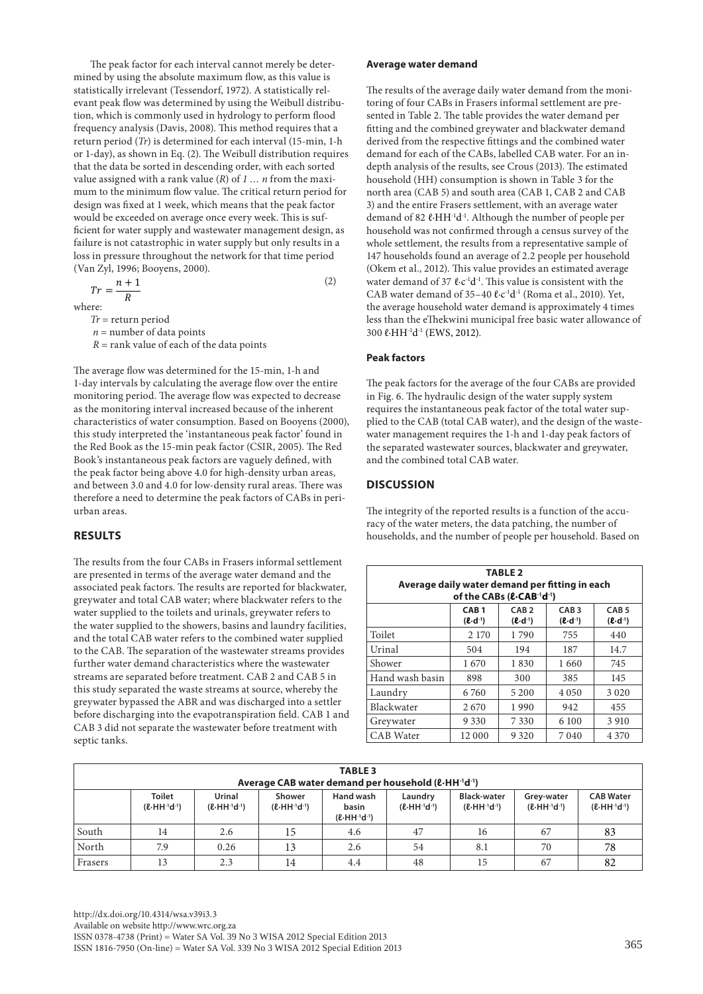The peak factor for each interval cannot merely be determined by using the absolute maximum flow, as this value is statistically irrelevant (Tessendorf, 1972). A statistically relevant peak flow was determined by using the Weibull distribution, which is commonly used in hydrology to perform flood frequency analysis (Davis, 2008). This method requires that a return period (*Tr*) is determined for each interval (15-min, 1-h or 1-day), as shown in Eq. (2). The Weibull distribution requires that the data be sorted in descending order, with each sorted value assigned with a rank value (*R*) of *1 … n* from the maximum to the minimum flow value. The critical return period for design was fixed at 1 week, which means that the peak factor would be exceeded on average once every week. This is sufficient for water supply and wastewater management design, as failure is not catastrophic in water supply but only results in a loss in pressure throughout the network for that time period (Van Zyl, 1996; Booyens, 2000).

$$
Tr = \frac{n+1}{R}
$$
 (2)

where:

*Tr* = return period

 $n =$  number of data points

 $R =$  rank value of each of the data points

The average flow was determined for the 15-min, 1-h and 1-day intervals by calculating the average flow over the entire monitoring period. The average flow was expected to decrease as the monitoring interval increased because of the inherent characteristics of water consumption. Based on Booyens (2000), this study interpreted the 'instantaneous peak factor' found in the Red Book as the 15-min peak factor (CSIR, 2005). The Red Book's instantaneous peak factors are vaguely defined, with the peak factor being above 4.0 for high-density urban areas, and between 3.0 and 4.0 for low-density rural areas. There was therefore a need to determine the peak factors of CABs in periurban areas.

# **RESULTS**

The results from the four CABs in Frasers informal settlement are presented in terms of the average water demand and the associated peak factors. The results are reported for blackwater, greywater and total CAB water; where blackwater refers to the water supplied to the toilets and urinals, greywater refers to the water supplied to the showers, basins and laundry facilities, and the total CAB water refers to the combined water supplied to the CAB. The separation of the wastewater streams provides further water demand characteristics where the wastewater streams are separated before treatment. CAB 2 and CAB 5 in this study separated the waste streams at source, whereby the greywater bypassed the ABR and was discharged into a settler before discharging into the evapotranspiration field. CAB 1 and CAB 3 did not separate the wastewater before treatment with septic tanks.

#### **Average water demand**

The results of the average daily water demand from the monitoring of four CABs in Frasers informal settlement are presented in Table 2. The table provides the water demand per fitting and the combined greywater and blackwater demand derived from the respective fittings and the combined water demand for each of the CABs, labelled CAB water. For an indepth analysis of the results, see Crous (2013). The estimated household (HH) consumption is shown in Table 3 for the north area (CAB 5) and south area (CAB 1, CAB 2 and CAB 3) and the entire Frasers settlement, with an average water demand of 82 ℓ⋅HH<sup>-1</sup>d<sup>-1</sup>. Although the number of people per household was not confirmed through a census survey of the whole settlement, the results from a representative sample of 147 households found an average of 2.2 people per household (Okem et al., 2012). This value provides an estimated average water demand of 37 ℓ⋅c<sup>-1</sup>d<sup>-1</sup>. This value is consistent with the CAB water demand of 35–40 ℓ∙c-1d-1 (Roma et al., 2010). Yet, the average household water demand is approximately 4 times less than the eThekwini municipal free basic water allowance of 300 ℓ∙HH-1d-1 (EWS, 2012).

## **Peak factors**

The peak factors for the average of the four CABs are provided in Fig. 6. The hydraulic design of the water supply system requires the instantaneous peak factor of the total water supplied to the CAB (total CAB water), and the design of the wastewater management requires the 1-h and 1-day peak factors of the separated wastewater sources, blackwater and greywater, and the combined total CAB water.

# **DISCUSSION**

The integrity of the reported results is a function of the accuracy of the water meters, the data patching, the number of households, and the number of people per household. Based on

| <b>TABLE 2</b><br>Average daily water demand per fitting in each<br>of the CABs ( <i>L</i> -CAB <sup>-1</sup> d <sup>-1</sup> ) |                                        |                                           |                                                             |                                                             |  |  |  |
|---------------------------------------------------------------------------------------------------------------------------------|----------------------------------------|-------------------------------------------|-------------------------------------------------------------|-------------------------------------------------------------|--|--|--|
|                                                                                                                                 | CAB <sub>1</sub><br>$(2 \cdot d^{-1})$ | CAB <sub>2</sub><br>$(\ell \cdot d^{-1})$ | CAB <sub>3</sub><br>$(\mathbf{\ell} \cdot \mathbf{d}^{-1})$ | CAB <sub>5</sub><br>$(\mathbf{\ell} \cdot \mathbf{d}^{-1})$ |  |  |  |
| Toilet                                                                                                                          | 2 1 7 0                                | 1790                                      | 755                                                         | 440                                                         |  |  |  |
| Urinal                                                                                                                          | 504                                    | 194                                       | 187                                                         | 14.7                                                        |  |  |  |
| Shower                                                                                                                          | 1670                                   | 1830                                      | 1660                                                        | 745                                                         |  |  |  |
| Hand wash basin                                                                                                                 | 898                                    | 300                                       | 385                                                         | 145                                                         |  |  |  |
| Laundry                                                                                                                         | 6760                                   | 5 200                                     | 4 0 5 0                                                     | 3 0 2 0                                                     |  |  |  |
| Blackwater                                                                                                                      | 2670                                   | 1990                                      | 942                                                         | 455                                                         |  |  |  |
| Greywater                                                                                                                       | 9 3 3 0                                | 7 3 3 0                                   | 6 100                                                       | 3 9 1 0                                                     |  |  |  |
| <b>CAB</b> Water                                                                                                                | 12 000                                 | 9 3 2 0                                   | 7040                                                        | 4 3 7 0                                                     |  |  |  |

| <b>TABLE 3</b><br>Average CAB water demand per household ( $\ell$ ·HH <sup>-1</sup> d <sup>-1</sup> ) |                                                              |                                     |                                     |                                                 |                                      |                                                       |                                         |                                                    |
|-------------------------------------------------------------------------------------------------------|--------------------------------------------------------------|-------------------------------------|-------------------------------------|-------------------------------------------------|--------------------------------------|-------------------------------------------------------|-----------------------------------------|----------------------------------------------------|
|                                                                                                       | <b>Toilet</b><br>$(\ell$ ·HH <sup>-1</sup> d <sup>-1</sup> ) | Urinal<br>$(R \cdot HH^{-1}d^{-1})$ | Shower<br>$(R \cdot HH^{-1}d^{-1})$ | Hand wash<br>basin<br>$(R \cdot HH^{-1}d^{-1})$ | Laundry<br>$(R \cdot HH^{-1}d^{-1})$ | <b>Black-water</b><br>$(\ell$ -HH $^{-1}$ d $^{-1}$ ) | Grey-water<br>$(R \cdot HH^{-1}d^{-1})$ | <b>CAB Water</b><br>$(\ell$ -HH $^{-1}$ d $^{-1})$ |
| South                                                                                                 | 14                                                           | 2.6                                 | 15                                  | 4.6                                             | 47                                   | 16                                                    | 67                                      | 83                                                 |
| North                                                                                                 | 7.9                                                          | 0.26                                | 13                                  | 2.6                                             | 54                                   | 8.1                                                   | 70                                      | 78                                                 |
| Frasers                                                                                               | 13                                                           | 2.3                                 | 14                                  | 4.4                                             | 48                                   | 15                                                    | 67                                      | 82                                                 |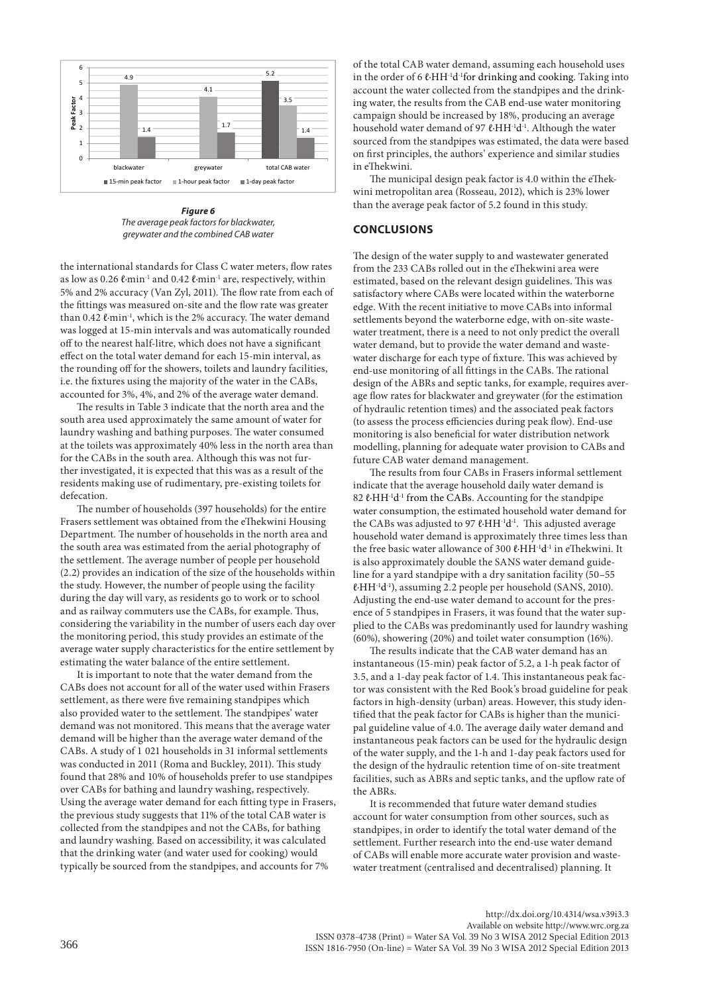

*Figure 6 The average peak factors for blackwater, greywater and the combined CAB water*

the international standards for Class C water meters, flow rates as low as 0.26 ℓ·min<sup>-1</sup> and 0.42 ℓ·min<sup>-1</sup> are, respectively, within 5% and 2% accuracy (Van Zyl, 2011). The flow rate from each of the fittings was measured on-site and the flow rate was greater than 0.42 ℓ⋅min<sup>-1</sup>, which is the 2% accuracy. The water demand was logged at 15-min intervals and was automatically rounded off to the nearest half-litre, which does not have a significant effect on the total water demand for each 15-min interval, as the rounding off for the showers, toilets and laundry facilities, i.e. the fixtures using the majority of the water in the CABs, accounted for 3%, 4%, and 2% of the average water demand.

The results in Table 3 indicate that the north area and the south area used approximately the same amount of water for laundry washing and bathing purposes. The water consumed at the toilets was approximately 40% less in the north area than for the CABs in the south area. Although this was not further investigated, it is expected that this was as a result of the residents making use of rudimentary, pre-existing toilets for defecation.

The number of households (397 households) for the entire Frasers settlement was obtained from the eThekwini Housing Department. The number of households in the north area and the south area was estimated from the aerial photography of the settlement. The average number of people per household (2.2) provides an indication of the size of the households within the study. However, the number of people using the facility during the day will vary, as residents go to work or to school and as railway commuters use the CABs, for example. Thus, considering the variability in the number of users each day over the monitoring period, this study provides an estimate of the average water supply characteristics for the entire settlement by estimating the water balance of the entire settlement.

It is important to note that the water demand from the CABs does not account for all of the water used within Frasers settlement, as there were five remaining standpipes which also provided water to the settlement. The standpipes' water demand was not monitored. This means that the average water demand will be higher than the average water demand of the CABs. A study of 1 021 households in 31 informal settlements was conducted in 2011 (Roma and Buckley, 2011). This study found that 28% and 10% of households prefer to use standpipes over CABs for bathing and laundry washing, respectively. Using the average water demand for each fitting type in Frasers, the previous study suggests that 11% of the total CAB water is collected from the standpipes and not the CABs, for bathing and laundry washing. Based on accessibility, it was calculated that the drinking water (and water used for cooking) would typically be sourced from the standpipes, and accounts for 7%

of the total CAB water demand, assuming each household uses in the order of 6 ℓ∙HH-1d-1for drinking and cooking. Taking into account the water collected from the standpipes and the drinking water, the results from the CAB end-use water monitoring campaign should be increased by 18%, producing an average household water demand of 97 ℓ∙HH-1d-1. Although the water sourced from the standpipes was estimated, the data were based on first principles, the authors' experience and similar studies in eThekwini.

The municipal design peak factor is 4.0 within the eThekwini metropolitan area (Rosseau, 2012), which is 23% lower than the average peak factor of 5.2 found in this study.

# **CONCLUSIONS**

The design of the water supply to and wastewater generated from the 233 CABs rolled out in the eThekwini area were estimated, based on the relevant design guidelines. This was satisfactory where CABs were located within the waterborne edge. With the recent initiative to move CABs into informal settlements beyond the waterborne edge, with on-site wastewater treatment, there is a need to not only predict the overall water demand, but to provide the water demand and wastewater discharge for each type of fixture. This was achieved by end-use monitoring of all fittings in the CABs. The rational design of the ABRs and septic tanks, for example, requires average flow rates for blackwater and greywater (for the estimation of hydraulic retention times) and the associated peak factors (to assess the process efficiencies during peak flow). End-use monitoring is also beneficial for water distribution network modelling, planning for adequate water provision to CABs and future CAB water demand management.

The results from four CABs in Frasers informal settlement indicate that the average household daily water demand is 82 ℓ⋅HH<sup>-1</sup>d<sup>-1</sup> from the CABs. Accounting for the standpipe water consumption, the estimated household water demand for the CABs was adjusted to 97 ℓ∙HH-1d-1. This adjusted average household water demand is approximately three times less than the free basic water allowance of 300 ℓ∙HH-1d-1 in eThekwini. It is also approximately double the SANS water demand guideline for a yard standpipe with a dry sanitation facility (50–55 ℓ∙HH-1d-1), assuming 2.2 people per household (SANS, 2010). Adjusting the end-use water demand to account for the presence of 5 standpipes in Frasers, it was found that the water supplied to the CABs was predominantly used for laundry washing (60%), showering (20%) and toilet water consumption (16%).

The results indicate that the CAB water demand has an instantaneous (15-min) peak factor of 5.2, a 1-h peak factor of 3.5, and a 1-day peak factor of 1.4. This instantaneous peak factor was consistent with the Red Book's broad guideline for peak factors in high-density (urban) areas. However, this study identified that the peak factor for CABs is higher than the municipal guideline value of 4.0. The average daily water demand and instantaneous peak factors can be used for the hydraulic design of the water supply, and the 1-h and 1-day peak factors used for the design of the hydraulic retention time of on-site treatment facilities, such as ABRs and septic tanks, and the upflow rate of the ABRs.

It is recommended that future water demand studies account for water consumption from other sources, such as standpipes, in order to identify the total water demand of the settlement. Further research into the end-use water demand of CABs will enable more accurate water provision and wastewater treatment (centralised and decentralised) planning. It